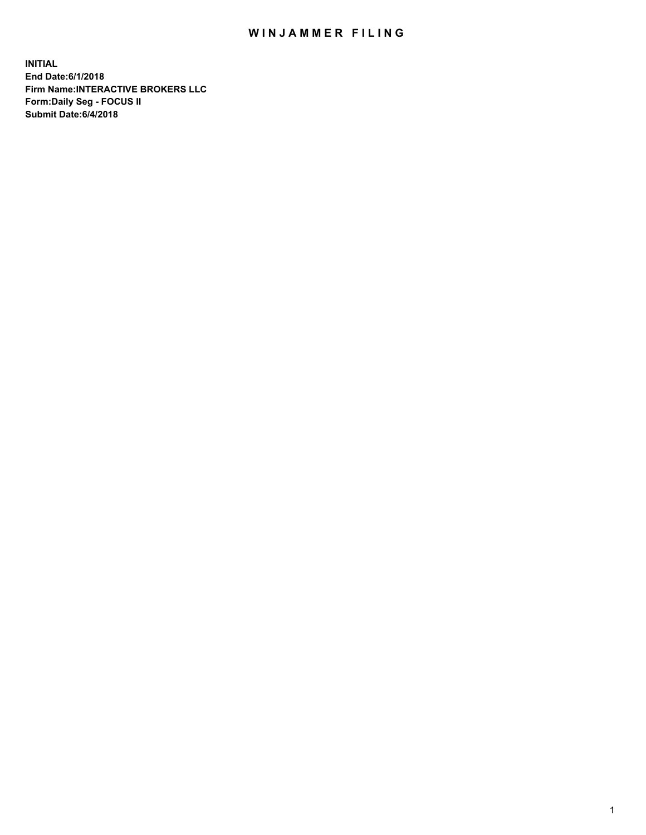## WIN JAMMER FILING

**INITIAL End Date:6/1/2018 Firm Name:INTERACTIVE BROKERS LLC Form:Daily Seg - FOCUS II Submit Date:6/4/2018**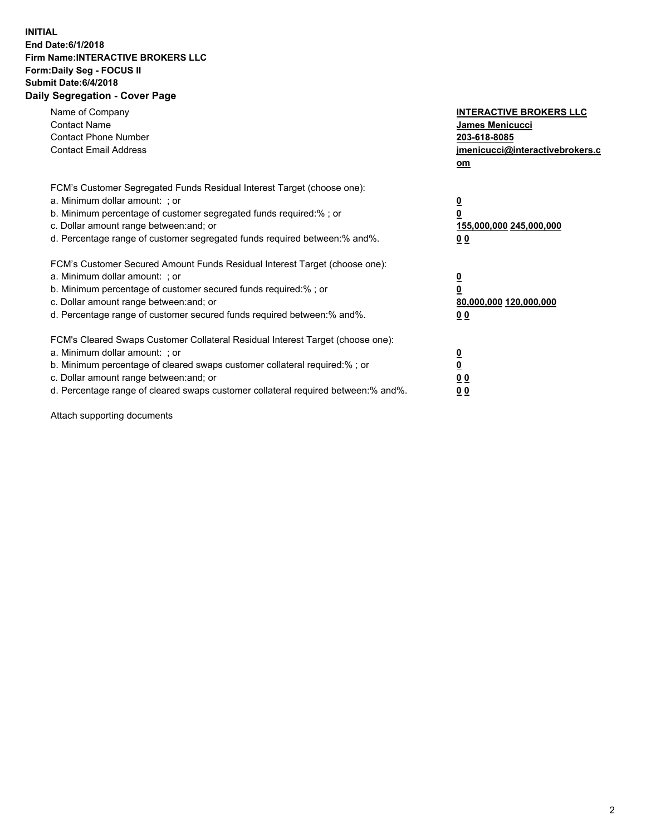## **INITIAL End Date:6/1/2018 Firm Name:INTERACTIVE BROKERS LLC Form:Daily Seg - FOCUS II Submit Date:6/4/2018 Daily Segregation - Cover Page**

| Name of Company<br><b>Contact Name</b><br><b>Contact Phone Number</b><br><b>Contact Email Address</b>                                                                                                                                                                                                                          | <b>INTERACTIVE BROKERS LLC</b><br>James Menicucci<br>203-618-8085<br>jmenicucci@interactivebrokers.c<br>om |
|--------------------------------------------------------------------------------------------------------------------------------------------------------------------------------------------------------------------------------------------------------------------------------------------------------------------------------|------------------------------------------------------------------------------------------------------------|
| FCM's Customer Segregated Funds Residual Interest Target (choose one):<br>a. Minimum dollar amount: ; or<br>b. Minimum percentage of customer segregated funds required:%; or<br>c. Dollar amount range between: and; or<br>d. Percentage range of customer segregated funds required between:% and%.                          | $\overline{\mathbf{0}}$<br>$\overline{\mathbf{0}}$<br>155,000,000 245,000,000<br>00                        |
| FCM's Customer Secured Amount Funds Residual Interest Target (choose one):<br>a. Minimum dollar amount: ; or<br>b. Minimum percentage of customer secured funds required:%; or<br>c. Dollar amount range between: and; or<br>d. Percentage range of customer secured funds required between: % and %.                          | $\overline{\mathbf{0}}$<br>0<br>80,000,000 120,000,000<br>00                                               |
| FCM's Cleared Swaps Customer Collateral Residual Interest Target (choose one):<br>a. Minimum dollar amount: ; or<br>b. Minimum percentage of cleared swaps customer collateral required:% ; or<br>c. Dollar amount range between: and; or<br>d. Percentage range of cleared swaps customer collateral required between:% and%. | $\overline{\mathbf{0}}$<br>$\underline{\mathbf{0}}$<br>0 <sub>0</sub><br>0 <sub>0</sub>                    |

Attach supporting documents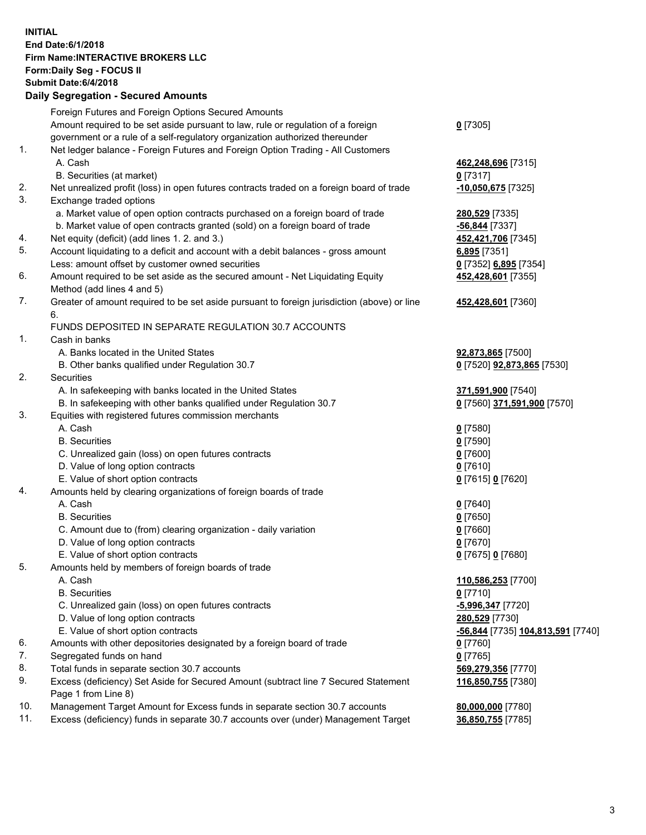## **INITIAL End Date:6/1/2018 Firm Name:INTERACTIVE BROKERS LLC Form:Daily Seg - FOCUS II Submit Date:6/4/2018 Daily Segregation - Secured Amounts**

|     | Foreign Futures and Foreign Options Secured Amounts                                         |                                                |
|-----|---------------------------------------------------------------------------------------------|------------------------------------------------|
|     | Amount required to be set aside pursuant to law, rule or regulation of a foreign            | $0$ [7305]                                     |
|     | government or a rule of a self-regulatory organization authorized thereunder                |                                                |
| 1.  | Net ledger balance - Foreign Futures and Foreign Option Trading - All Customers             |                                                |
|     | A. Cash                                                                                     | 462,248,696 [7315]                             |
|     | B. Securities (at market)                                                                   | $0$ [7317]                                     |
| 2.  | Net unrealized profit (loss) in open futures contracts traded on a foreign board of trade   | -10,050,675 [7325]                             |
| 3.  | Exchange traded options                                                                     |                                                |
|     | a. Market value of open option contracts purchased on a foreign board of trade              | 280,529 [7335]                                 |
|     | b. Market value of open contracts granted (sold) on a foreign board of trade                | -56,844 [7337]                                 |
| 4.  | Net equity (deficit) (add lines 1. 2. and 3.)                                               | 452,421,706 [7345]                             |
| 5.  | Account liquidating to a deficit and account with a debit balances - gross amount           | 6,895 [7351]                                   |
|     | Less: amount offset by customer owned securities                                            | 0 [7352] 6,895 [7354]                          |
| 6.  | Amount required to be set aside as the secured amount - Net Liquidating Equity              | 452,428,601 [7355]                             |
|     | Method (add lines 4 and 5)                                                                  |                                                |
| 7.  | Greater of amount required to be set aside pursuant to foreign jurisdiction (above) or line | 452,428,601 [7360]                             |
|     | 6.                                                                                          |                                                |
|     | FUNDS DEPOSITED IN SEPARATE REGULATION 30.7 ACCOUNTS                                        |                                                |
| 1.  | Cash in banks                                                                               |                                                |
|     | A. Banks located in the United States                                                       | 92,873,865 [7500]                              |
|     | B. Other banks qualified under Regulation 30.7                                              | 0 [7520] 92,873,865 [7530]                     |
| 2.  | Securities                                                                                  |                                                |
|     | A. In safekeeping with banks located in the United States                                   | 371,591,900 [7540]                             |
|     | B. In safekeeping with other banks qualified under Regulation 30.7                          | 0 [7560] 371,591,900 [7570]                    |
| 3.  | Equities with registered futures commission merchants                                       |                                                |
|     | A. Cash                                                                                     | $0$ [7580]                                     |
|     | <b>B.</b> Securities                                                                        | $0$ [7590]                                     |
|     | C. Unrealized gain (loss) on open futures contracts                                         | $0$ [7600]                                     |
|     | D. Value of long option contracts                                                           | $0$ [7610]                                     |
|     | E. Value of short option contracts                                                          | 0 [7615] 0 [7620]                              |
| 4.  | Amounts held by clearing organizations of foreign boards of trade                           |                                                |
|     | A. Cash                                                                                     | $0$ [7640]                                     |
|     | <b>B.</b> Securities                                                                        | $0$ [7650]                                     |
|     | C. Amount due to (from) clearing organization - daily variation                             | $0$ [7660]                                     |
|     | D. Value of long option contracts                                                           | $0$ [7670]                                     |
|     | E. Value of short option contracts                                                          | 0 [7675] 0 [7680]                              |
| 5.  | Amounts held by members of foreign boards of trade                                          |                                                |
|     | A. Cash                                                                                     | 110,586,253 [7700]                             |
|     | <b>B.</b> Securities                                                                        | $0$ [7710]                                     |
|     | C. Unrealized gain (loss) on open futures contracts                                         | -5,996,347 [7720]                              |
|     | D. Value of long option contracts                                                           | 280,529 [7730]                                 |
|     | E. Value of short option contracts                                                          | <mark>-56,844</mark> [7735] 104,813,591 [7740] |
| 6.  | Amounts with other depositories designated by a foreign board of trade                      | $0$ [7760]                                     |
| 7.  | Segregated funds on hand                                                                    | $0$ [7765]                                     |
| 8.  | Total funds in separate section 30.7 accounts                                               | 569,279,356 [7770]                             |
| 9.  | Excess (deficiency) Set Aside for Secured Amount (subtract line 7 Secured Statement         | 116,850,755 [7380]                             |
|     | Page 1 from Line 8)                                                                         |                                                |
| 10. | Management Target Amount for Excess funds in separate section 30.7 accounts                 | 80,000,000 [7780]                              |
| 11. | Excess (deficiency) funds in separate 30.7 accounts over (under) Management Target          | 36,850,755 [7785]                              |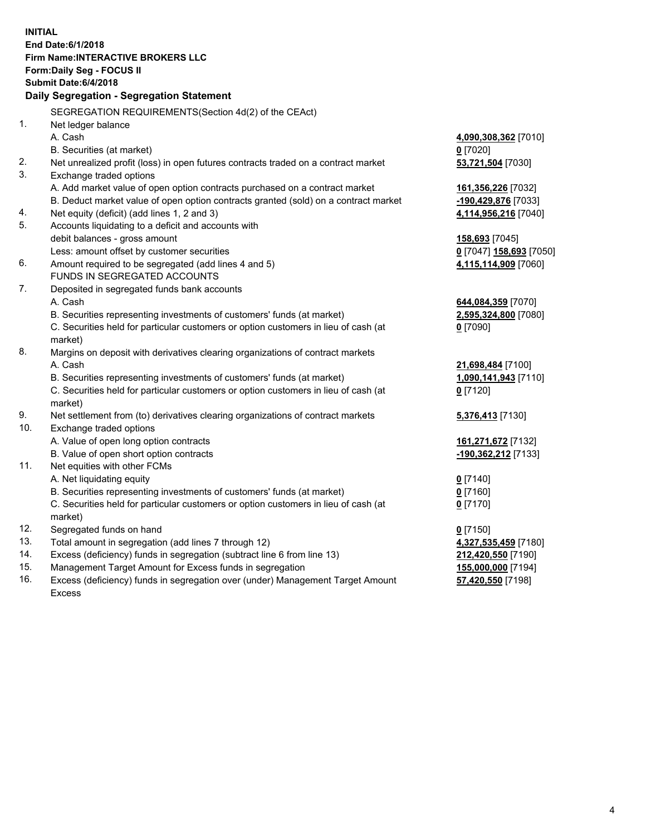**INITIAL End Date:6/1/2018 Firm Name:INTERACTIVE BROKERS LLC Form:Daily Seg - FOCUS II Submit Date:6/4/2018 Daily Segregation - Segregation Statement** SEGREGATION REQUIREMENTS(Section 4d(2) of the CEAct) 1. Net ledger balance A. Cash **4,090,308,362** [7010] B. Securities (at market) **0** [7020] 2. Net unrealized profit (loss) in open futures contracts traded on a contract market **53,721,504** [7030] 3. Exchange traded options A. Add market value of open option contracts purchased on a contract market **161,356,226** [7032] B. Deduct market value of open option contracts granted (sold) on a contract market **-190,429,876** [7033] 4. Net equity (deficit) (add lines 1, 2 and 3) **4,114,956,216** [7040] 5. Accounts liquidating to a deficit and accounts with debit balances - gross amount **158,693** [7045] Less: amount offset by customer securities **0** [7047] **158,693** [7050] 6. Amount required to be segregated (add lines 4 and 5) **4,115,114,909** [7060] FUNDS IN SEGREGATED ACCOUNTS 7. Deposited in segregated funds bank accounts A. Cash **644,084,359** [7070] B. Securities representing investments of customers' funds (at market) **2,595,324,800** [7080] C. Securities held for particular customers or option customers in lieu of cash (at market) **0** [7090] 8. Margins on deposit with derivatives clearing organizations of contract markets A. Cash **21,698,484** [7100] B. Securities representing investments of customers' funds (at market) **1,090,141,943** [7110] C. Securities held for particular customers or option customers in lieu of cash (at market) **0** [7120] 9. Net settlement from (to) derivatives clearing organizations of contract markets **5,376,413** [7130] 10. Exchange traded options A. Value of open long option contracts **161,271,672** [7132] B. Value of open short option contracts **-190,362,212** [7133] 11. Net equities with other FCMs A. Net liquidating equity **0** [7140] B. Securities representing investments of customers' funds (at market) **0** [7160] C. Securities held for particular customers or option customers in lieu of cash (at market) **0** [7170] 12. Segregated funds on hand **0** [7150] 13. Total amount in segregation (add lines 7 through 12) **4,327,535,459** [7180] 14. Excess (deficiency) funds in segregation (subtract line 6 from line 13) **212,420,550** [7190] 15. Management Target Amount for Excess funds in segregation **155,000,000** [7194] **57,420,550** [7198]

16. Excess (deficiency) funds in segregation over (under) Management Target Amount Excess